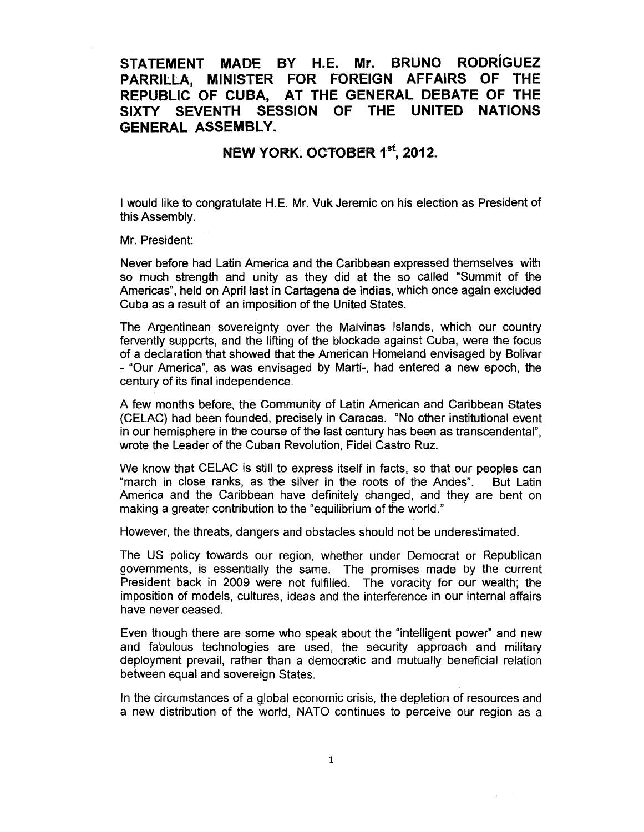## STATEMENT MADE BY H.E. Mr. BRUNO RODRiGUEZ PARRILLA, MINISTER FOR FOREIGN AFFAIRS OF THE REPUBLIC OF CUBA, AT THE GENERAL DEBATE OF THE SIXTY SEVENTH SESSION OF THE UNITED NATIONS GENERAL ASSEMBLY.

## NEW YORK: OCTOBER 1<sup>st</sup>, 2012.

I would like to congratulate H.E. Mr. Vuk Jeremic on his election as President of this Assembly.

Mr. President:

Never before had Latin America and the Caribbean expressed themselves with so much strength and unity as they did at the so called "Summit of the Americas", held on April last in Cartagena de Indias, which once again excluded Cuba as a result of an imposition of the United States.

The Argentinean sovereignty over the Malvinas Islands, which our country fervently supports, and the lifting of the blockade against Cuba, were the focus of a declaration that showed that the American Homeland envisaged by Bolivar - "Our America", as was envisaged by Marti-, had entered a new epoch, the century of its final independence.

A few months before, the Community of Latin American and Caribbean States (CELAC) had been founded, precisely in Caracas. "No other institutional event in our hemisphere in the course of the last century has been as transcendental", wrote the Leader of the Cuban Revolution, Fidel Castro Ruz.

We know that CELAC is still to express itself in facts, so that our peoples can "march in close ranks, as the silver in the roots of the Andes". But Latin America and the Caribbean have definitely changed, and they are bent on making a greater contribution to the "equilibrium of the world."

However, the threats, dangers and obstacles should not be underestimated.

The US policy towards our region, whether under Democrat or Republican governments, is essentially the same. The promises made by the current President back in 2009 were not fulfilled. The voracity for our wealth; the imposition of models, cultures, ideas and the interference in our internal affairs have never ceased.

Even though there are some who speak about the "intelligent power" and new and fabulous technologies are used, the security approach and military deployment prevail, rather than a democratic and mutually beneficial relation between equal and sovereign States.

In the circumstances of a global economic crisis, the depletion of resources and a new distribution of the world, NATO continues to perceive our region as a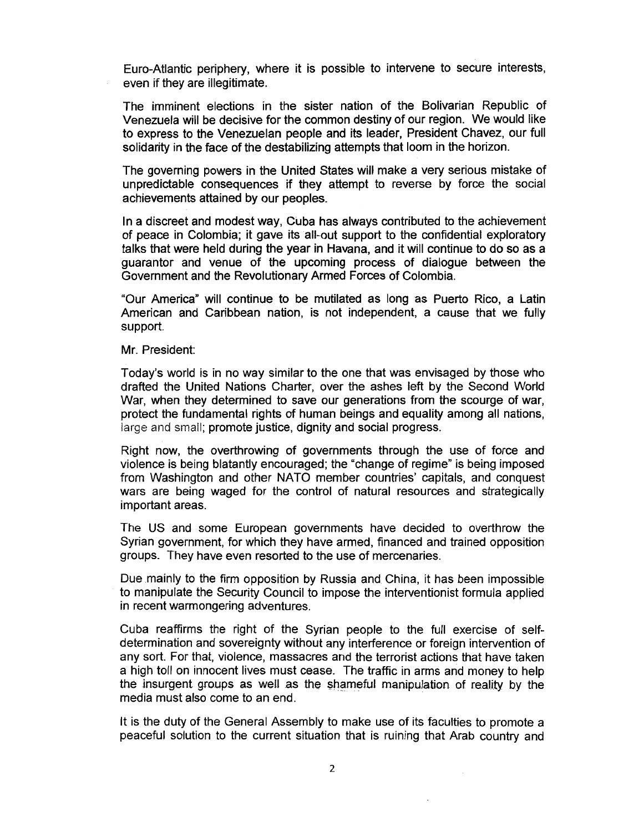Euro-Atlantic periphery, where it is possible to intervene to secure interests, even if they are illegitimate.

The imminent elections in the sister nation of the Bolivarian Republic of Venezuela will be decisive for the common destiny of our region. We would like to express to the Venezuelan people and its leader, President Chavez, our full solidarity in the face of the destabilizing attempts that loom in the horizon.

The governing powers in the United States will make a very serious mistake of unpredictable consequences if they attempt to reverse by force the social achievements attained by our peoples.

In a discreet and modest way, Cuba has always contributed to the achievement of peace in Colombia; it gave its all-out support to the confidential exploratory talks that were held during the year in Havana, and it will continue to do so as a guarantor and venue of the upcoming process of dialogue between the Government and the Revolutionary Armed Forces of Colombia.

"Our America" will continue to be mutilated as long as Puerto Rico, a Latin American and Caribbean nation, is not independent, a cause that we fully support.

Mr. President:

Today's world is in no way similar to the one that was envisaged by those who drafted the United Nations Charter, over the ashes left by the Second World War, when they determined to save our generations from the scourge of war, protect the fundamental rights of human beings and equality among all nations, Jarge and small; promote justice, dignity and social progress.

Right now, the overthrowing of governments through the use of force and violence is being blatantly encouraged; the "change of regime" is being imposed from Washington and other NATO member countries' capitals, and conquest wars are being waged for the control of natural resources and strategically important areas.

The US and some European governments have decided to overthrow the Syrian government, for which they have armed, financed and trained opposition groups. They have even resorted to the use of mercenaries.

Due mainly to the firm opposition by Russia and China, it has been impossible to manipulate the Security Council to impose the interventionist formula applied in recent warmongering adventures.

Cuba reaffirms the right of the Syrian people to the full exercise of selfdetermination and sovereignty without any interference or foreign intervention of any sort. For that, violence, massacres and the terrorist actions that have taken a high toll on innocent lives must cease. The traffic in arms and money to help the insurgent groups as well as the shameful manipulation of reality by the media must also come to an end.

It is the duty of the General Assembly to make use of its faculties to promote a peaceful solution to the current situation that is ruining that Arab country and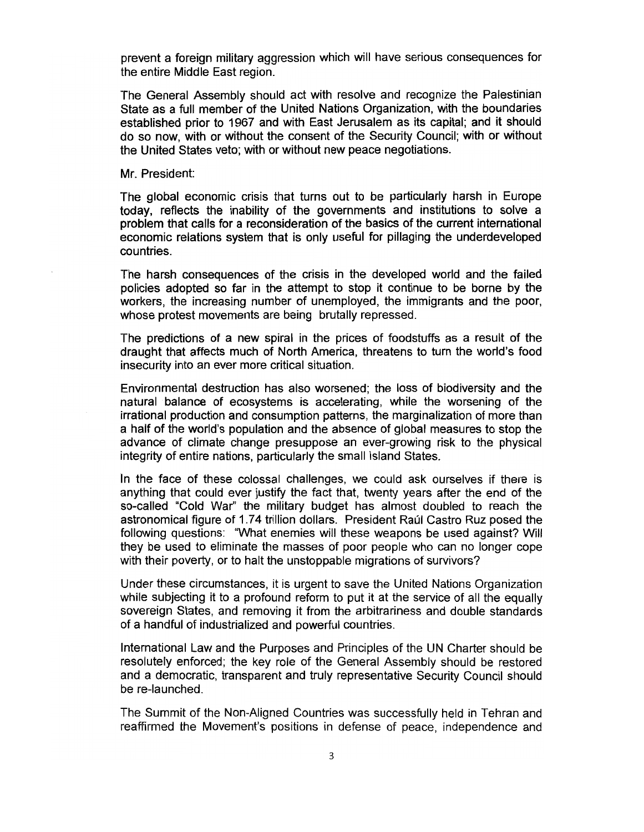prevent a foreign military aggression which will have serious consequences for the entire Middle East region.

The General Assembly should act with resolve and recognize the Palestinian State as a full member of the United Nations Organization, with the boundaries established prior to 1967 and with East Jerusalem as its capital; and it should do so now, with or without the consent of the Security Council; with or without the United States veto; with or without new peace negotiations.

## Mr. President:

The global economic crisis that turns out to be particularly harsh in Europe today, reflects the inability of the governments and institutions to solve a problem that calls for a reconsideration of the basics of the current international economic relations system that is only useful for pillaging the underdeveloped countries.

The harsh consequences of the crisis in the developed world and the failed policies adopted so far in the attempt to stop it continue to be borne by the workers, the increasing number of unemployed, the immigrants and the poor, whose protest movements are being brutally repressed.

The predictions of a new spiral in the prices of foodstuffs as a result of the draught that affects much of North America, threatens to turn the world's food insecurity into an ever more critical situation.

Environmental destruction has also worsened; the loss of biodiversity and the natural balance of ecosystems is accelerating, while the worsening of the irrational production and consumption patterns, the marginalization of more than a half of the world's population and the absence of global measures to stop the advance of climate change presuppose an ever-growing risk to the physical integrity of entire nations, particularly the small Island States.

In the face of these colossal challenges, we could ask ourselves if there is anything that could ever justify the fact that, twenty years after the end of the so-called "Cold War" the military budget has almost doubled to reach the astronomical figure of 1.74 trillion dollars. President Raúl Castro Ruz posed the following questions: "What enemies will these weapons be used against? Will they be used to eliminate the masses of poor people who can no longer cope with their poverty, or to halt the unstoppable migrations of survivors?

Under these circumstances, it is urgent to save the United Nations Organization while subjecting it to a profound reform to put it at the service of all the equally sovereign States, and removing it from the arbitrariness and double standards of a handful of industrialized and powerful countries.

International Law and the Purposes and Principles of the UN Charter should be resolutely enforced; the key role of the General Assembly should be restored and a democratic, transparent and truly representative Security Council should be re-launched.

The Summit of the Non-Aligned Countries was successfully held in Tehran and reaffirmed the Movement's positions in defense of peace, independence and